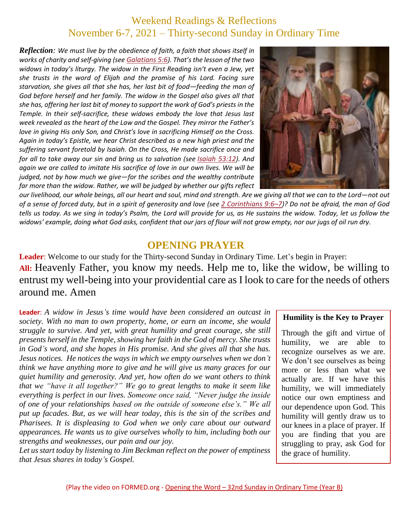# Weekend Readings & Reflections November 6-7, 2021 – Thirty-second Sunday in Ordinary Time

*Reflection: We must live by the obedience of faith, a faith that shows itself in works of charity and self-giving (see [Galatians](https://biblia.com/bible/rsvce/Gal%205.6) 5:6). That's the lesson of the two widows in today's liturgy. The widow in the First Reading isn't even a Jew, yet she trusts in the word of Elijah and the promise of his Lord. Facing sure starvation, she gives all that she has, her last bit of food—feeding the man of God before herself and her family. The widow in the Gospel also gives all that she has, offering her last bit of money to support the work of God's priests in the Temple. In their self-sacrifice, these widows embody the love that Jesus last week revealed as the heart of the Law and the Gospel. They mirror the Father's love in giving His only Son, and Christ's love in sacrificing Himself on the Cross. Again in today's Epistle, we hear Christ described as a new high priest and the suffering servant foretold by Isaiah. On the Cross, He made sacrifice once and for all to take away our sin and bring us to salvation (see [Isaiah](https://biblia.com/bible/rsvce/Isa%2053.12) 53:12). And again we are called to imitate His sacrifice of love in our own lives. We will be judged, not by how much we give—for the scribes and the wealthy contribute far more than the widow. Rather, we will be judged by whether our gifts reflect* 



*our livelihood, our whole beings, all our heart and soul, mind and strength. Are we giving all that we can to the Lord—not out of a sense of forced duty, but in a spirit of generosity and love (see 2 [Corinthians](https://biblia.com/bible/rsvce/2%20Cor%209.6%E2%80%937) 9:6–7)? Do not be afraid, the man of God tells us today. As we sing in today's Psalm, the Lord will provide for us, as He sustains the widow. Today, let us follow the widows' example, doing what God asks, confident that our jars of flour will not grow empty, nor our jugs of oil run dry.*

#### **OPENING PRAYER**

**Leader**: Welcome to our study for the Thirty-second Sunday in Ordinary Time. Let's begin in Prayer: **All:** Heavenly Father, you know my needs. Help me to, like the widow, be willing to entrust my well-being into your providential care as I look to care for the needs of others around me. Amen

**Leader**: *A widow in Jesus's time would have been considered an outcast in society. With no man to own property, home, or earn an income, she would struggle to survive. And yet, with great humility and great courage, she still presents herself in the Temple, showing her faith in the God of mercy. She trusts in God's word, and she hopes in His promise. And she gives all that she has. Jesus notices. He notices the ways in which we empty ourselves when we don't think we have anything more to give and he will give us many graces for our quiet humility and generosity. And yet, how often do we want others to think that we "have it all together?" We go to great lengths to make it seem like everything is perfect in our lives. Someone once said, "Never judge the inside of one of your relationships based on the outside of someone else's." We all put up facades. But, as we will hear today, this is the sin of the scribes and Pharisees. It is displeasing to God when we only care about our outward appearances. He wants us to give ourselves wholly to him, including both our strengths and weaknesses, our pain and our joy.*

*Let us start today by listening to Jim Beckman reflect on the power of emptiness that Jesus shares in today's Gospel.*

#### **Humility is the Key to Prayer**

Through the gift and virtue of humility, we are able to recognize ourselves as we are. We don't see ourselves as being more or less than what we actually are. If we have this humility, we will immediately notice our own emptiness and our dependence upon God. This humility will gently draw us to our knees in a place of prayer. If you are finding that you are struggling to pray, ask God for the grace of humility.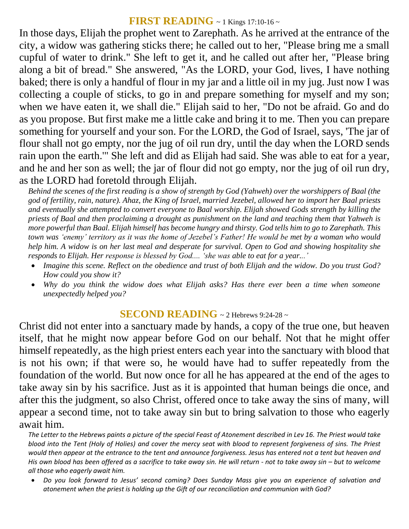## **FIRST READING** ~ 1 Kings 17:10-16 ~

In those days, Elijah the prophet went to Zarephath. As he arrived at the entrance of the city, a widow was gathering sticks there; he called out to her, "Please bring me a small cupful of water to drink." She left to get it, and he called out after her, "Please bring along a bit of bread." She answered, "As the LORD, your God, lives, I have nothing baked; there is only a handful of flour in my jar and a little oil in my jug. Just now I was collecting a couple of sticks, to go in and prepare something for myself and my son; when we have eaten it, we shall die." Elijah said to her, "Do not be afraid. Go and do as you propose. But first make me a little cake and bring it to me. Then you can prepare something for yourself and your son. For the LORD, the God of Israel, says, 'The jar of flour shall not go empty, nor the jug of oil run dry, until the day when the LORD sends rain upon the earth.'" She left and did as Elijah had said. She was able to eat for a year, and he and her son as well; the jar of flour did not go empty, nor the jug of oil run dry, as the LORD had foretold through Elijah.

*Behind the scenes of the first reading is a show of strength by God (Yahweh) over the worshippers of Baal (the god of fertility, rain, nature). Ahaz, the King of Israel, married Jezebel, allowed her to import her Baal priests and eventually she attempted to convert everyone to Baal worship. Elijah showed Gods strength by killing the priests of Baal and then proclaiming a drought as punishment on the land and teaching them that Yahweh is more powerful than Baal. Elijah himself has become hungry and thirsty. God tells him to go to Zarephath. This town was 'enemy' territory as it was the home of Jezebel's Father! He would be met by a woman who would help him. A widow is on her last meal and desperate for survival. Open to God and showing hospitality she responds to Elijah. Her response is blessed by God.... 'she was able to eat for a year...'* 

- *Imagine this scene. Reflect on the obedience and trust of both Elijah and the widow. Do you trust God? How could you show it?*
- *Why do you think the widow does what Elijah asks? Has there ever been a time when someone unexpectedly helped you?*

## **SECOND READING** ~ 2 Hebrews 9:24-28 ~

Christ did not enter into a sanctuary made by hands, a copy of the true one, but heaven itself, that he might now appear before God on our behalf. Not that he might offer himself repeatedly, as the high priest enters each year into the sanctuary with blood that is not his own; if that were so, he would have had to suffer repeatedly from the foundation of the world. But now once for all he has appeared at the end of the ages to take away sin by his sacrifice. Just as it is appointed that human beings die once, and after this the judgment, so also Christ, offered once to take away the sins of many, will appear a second time, not to take away sin but to bring salvation to those who eagerly await him.

*The Letter to the Hebrews paints a picture of the special Feast of Atonement described in Lev 16. The Priest would take blood into the Tent (Holy of Holies) and cover the mercy seat with blood to represent forgiveness of sins. The Priest would then appear at the entrance to the tent and announce forgiveness. Jesus has entered not a tent but heaven and His own blood has been offered as a sacrifice to take away sin. He will return - not to take away sin – but to welcome all those who eagerly await him.* 

 *Do you look forward to Jesus' second coming? Does Sunday Mass give you an experience of salvation and atonement when the priest is holding up the Gift of our reconciliation and communion with God?*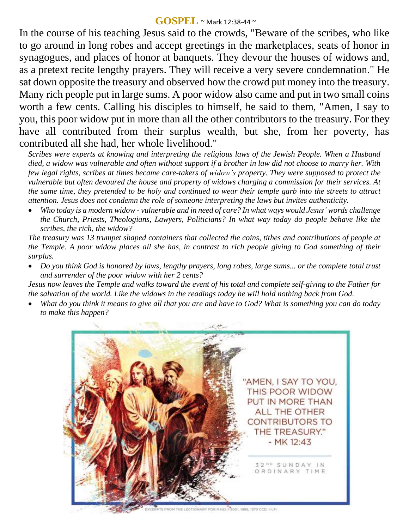#### **GOSPEL** ~ Mark 12:38-44 <sup>~</sup>

In the course of his teaching Jesus said to the crowds, "Beware of the scribes, who like to go around in long robes and accept greetings in the marketplaces, seats of honor in synagogues, and places of honor at banquets. They devour the houses of widows and, as a pretext recite lengthy prayers. They will receive a very severe condemnation." He sat down opposite the treasury and observed how the crowd put money into the treasury. Many rich people put in large sums. A poor widow also came and put in two small coins worth a few cents. Calling his disciples to himself, he said to them, "Amen, I say to you, this poor widow put in more than all the other contributors to the treasury. For they have all contributed from their surplus wealth, but she, from her poverty, has contributed all she had, her whole livelihood."

*Scribes were experts at knowing and interpreting the religious laws of the Jewish People. When a Husband died, a widow was vulnerable and often without support if a brother in law did not choose to marry her. With few legal rights, scribes at times became care-takers of widow's property. They were supposed to protect the vulnerable but often devoured the house and property of widows charging a commission for their services. At the same time, they pretended to be holy and continued to wear their temple garb into the streets to attract attention. Jesus does not condemn the role of someone interpreting the laws but invites authenticity.* 

 *Who today is a modern widow - vulnerable and in need of care? In what ways would Jesus' words challenge the Church, Priests, Theologians, Lawyers, Politicians? In what way today do people behave like the scribes, the rich, the widow?*

*The treasury was 13 trumpet shaped containers that collected the coins, tithes and contributions of people at the Temple. A poor widow places all she has, in contrast to rich people giving to God something of their surplus.* 

 *Do you think God is honored by laws, lengthy prayers, long robes, large sums... or the complete total trust and surrender of the poor widow with her 2 cents?*

*Jesus now leaves the Temple and walks toward the event of his total and complete self-giving to the Father for the salvation of the world. Like the widows in the readings today he will hold nothing back from God.* 

 *What do you think it means to give all that you are and have to God? What is something you can do today to make this happen?*